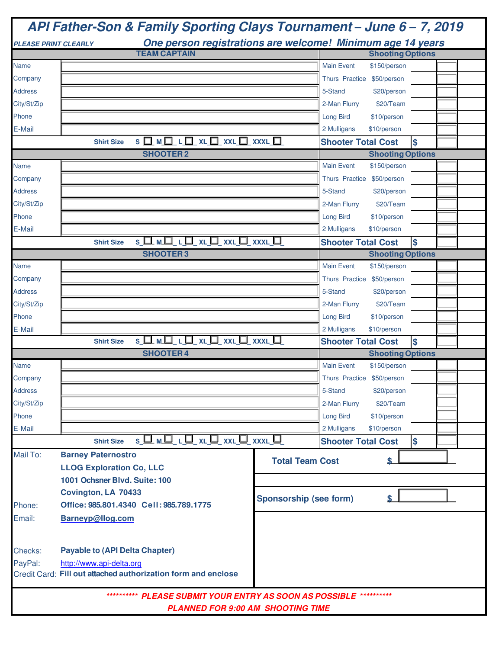|                | API Father-Son & Family Sporting Clays Tournament - June 6 - 7, 2019                      |                                          |                   |                            |    |  |  |  |
|----------------|-------------------------------------------------------------------------------------------|------------------------------------------|-------------------|----------------------------|----|--|--|--|
|                | One person registrations are welcome! Minimum age 14 years<br><b>PLEASE PRINT CLEARLY</b> |                                          |                   |                            |    |  |  |  |
|                | <b>TEAM CAPTAIN</b>                                                                       |                                          |                   | <b>Shooting Options</b>    |    |  |  |  |
| <b>Name</b>    |                                                                                           |                                          | <b>Main Event</b> | \$150/person               |    |  |  |  |
| Company        |                                                                                           |                                          |                   | Thurs Practice \$50/person |    |  |  |  |
| <b>Address</b> |                                                                                           |                                          | 5-Stand           | \$20/person                |    |  |  |  |
| City/St/Zip    |                                                                                           |                                          | 2-Man Flurry      | \$20/Team                  |    |  |  |  |
| Phone          |                                                                                           |                                          | <b>Long Bird</b>  | \$10/person                |    |  |  |  |
| E-Mail         |                                                                                           |                                          | 2 Mulligans       | \$10/person                |    |  |  |  |
|                | S O M O L O XL O XXL O XXXL O<br><b>Shirt Size</b>                                        |                                          |                   | <b>Shooter Total Cost</b>  | \$ |  |  |  |
|                | <b>SHOOTER2</b>                                                                           |                                          |                   | <b>Shooting Options</b>    |    |  |  |  |
| Name           |                                                                                           |                                          | <b>Main Event</b> | \$150/person               |    |  |  |  |
| Company        |                                                                                           |                                          |                   | Thurs Practice \$50/person |    |  |  |  |
| <b>Address</b> |                                                                                           |                                          | 5-Stand           | \$20/person                |    |  |  |  |
| City/St/Zip    |                                                                                           |                                          | 2-Man Flurry      | \$20/Team                  |    |  |  |  |
| Phone          |                                                                                           |                                          | <b>Long Bird</b>  | \$10/person                |    |  |  |  |
| E-Mail         |                                                                                           |                                          | 2 Mulligans       | \$10/person                |    |  |  |  |
|                | S □ M □ L □ XL □ XXL □ XXXL □                                                             |                                          |                   |                            |    |  |  |  |
|                | <b>Shirt Size</b>                                                                         |                                          |                   | <b>Shooter Total Cost</b>  | \$ |  |  |  |
|                | <b>SHOOTER3</b>                                                                           |                                          |                   | <b>Shooting Options</b>    |    |  |  |  |
| Name           |                                                                                           |                                          | <b>Main Event</b> | \$150/person               |    |  |  |  |
| Company        |                                                                                           |                                          |                   | Thurs Practice \$50/person |    |  |  |  |
| <b>Address</b> |                                                                                           |                                          | 5-Stand           | \$20/person                |    |  |  |  |
| City/St/Zip    |                                                                                           |                                          | 2-Man Flurry      | \$20/Team                  |    |  |  |  |
| Phone          |                                                                                           |                                          | <b>Long Bird</b>  | \$10/person                |    |  |  |  |
| E-Mail         |                                                                                           |                                          | 2 Mulligans       | \$10/person                |    |  |  |  |
|                | SOMOLQXLQxxLQxxxLQ<br><b>Shirt Size</b>                                                   |                                          |                   | <b>Shooter Total Cost</b>  | \$ |  |  |  |
|                | <b>SHOOTER4</b>                                                                           |                                          |                   | <b>Shooting Options</b>    |    |  |  |  |
| Name           |                                                                                           |                                          | <b>Main Event</b> | \$150/person               |    |  |  |  |
| Company        |                                                                                           |                                          |                   | Thurs Practice \$50/person |    |  |  |  |
| <b>Address</b> |                                                                                           |                                          | 5-Stand           | \$20/person                |    |  |  |  |
| City/St/Zip    |                                                                                           |                                          | 2-Man Flurry      | \$20/Team                  |    |  |  |  |
| Phone          |                                                                                           |                                          | <b>Long Bird</b>  | \$10/person                |    |  |  |  |
| E-Mail         |                                                                                           |                                          | 2 Mulligans       | \$10/person                |    |  |  |  |
|                | $S \sqcup M \sqcup L \sqcup XL \sqcup XXL \sqcup XXXL$<br><b>Shirt Size</b>               |                                          |                   | <b>Shooter Total Cost</b>  | \$ |  |  |  |
| Mail To:       | <b>Barney Paternostro</b>                                                                 |                                          |                   |                            |    |  |  |  |
|                | <b>LLOG Exploration Co, LLC</b>                                                           | <b>Total Team Cost</b>                   |                   | \$                         |    |  |  |  |
|                | 1001 Ochsner Blvd. Suite: 100                                                             |                                          |                   |                            |    |  |  |  |
|                | Covington, LA 70433                                                                       |                                          |                   |                            |    |  |  |  |
| Phone:         | Office: 985.801.4340 Cell: 985.789.1775                                                   | <b>Sponsorship (see form)</b>            |                   | \$                         |    |  |  |  |
| Email:         | Barneyp@llog.com                                                                          |                                          |                   |                            |    |  |  |  |
|                |                                                                                           |                                          |                   |                            |    |  |  |  |
|                |                                                                                           |                                          |                   |                            |    |  |  |  |
| Checks:        | <b>Payable to (API Delta Chapter)</b>                                                     |                                          |                   |                            |    |  |  |  |
| PayPal:        | http://www.api-delta.org                                                                  |                                          |                   |                            |    |  |  |  |
|                | Credit Card: Fill out attached authorization form and enclose                             |                                          |                   |                            |    |  |  |  |
|                |                                                                                           |                                          |                   |                            |    |  |  |  |
|                | ********** PLEASE SUBMIT YOUR ENTRY AS SOON AS POSSIBLE **********                        |                                          |                   |                            |    |  |  |  |
|                |                                                                                           | <b>PLANNED FOR 9:00 AM SHOOTING TIME</b> |                   |                            |    |  |  |  |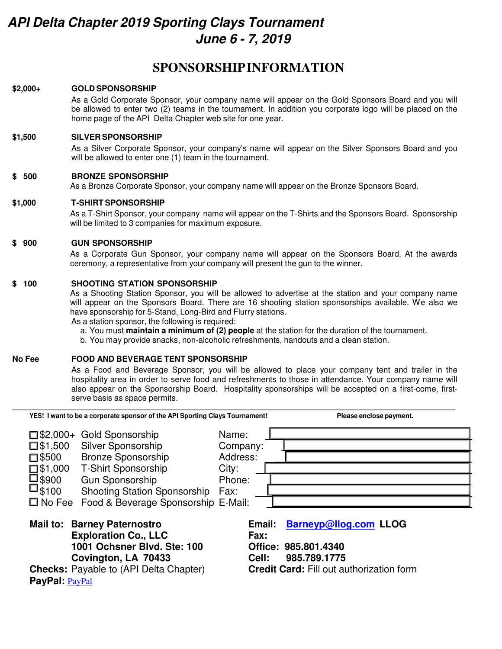# *API Delta Chapter 2019 Sporting Clays Tournament June 6 - 7, 2019*

## **SPONSORSHIP INFORMATION**

#### **\$2,000+ GOLD SPONSORSHIP**

As a Gold Corporate Sponsor, your company name will appear on the Gold Sponsors Board and you will be allowed to enter two (2) teams in the tournament. In addition you corporate logo will be placed on the home page of the API Delta Chapter web site for one year.

#### **\$1,500 SILVER SPONSORSHIP**

As a Silver Corporate Sponsor, your company's name will appear on the Silver Sponsors Board and you will be allowed to enter one (1) team in the tournament.

#### **\$ 500 BRONZE SPONSORSHIP**

As a Bronze Corporate Sponsor, your company name will appear on the Bronze Sponsors Board.

#### **\$1,000 T-SHIRT SPONSORSHIP**

As a T-Shirt Sponsor, your company name will appear on the T-Shirts and the Sponsors Board. Sponsorship will be limited to 3 companies for maximum exposure.

#### **\$ 900 GUN SPONSORSHIP**

As a Corporate Gun Sponsor, your company name will appear on the Sponsors Board. At the awards ceremony, a representative from your company will present the gun to the winner.

#### **\$ 100 SHOOTING STATION SPONSORSHIP**

As a Shooting Station Sponsor, you will be allowed to advertise at the station and your company name will appear on the Sponsors Board. There are 16 shooting station sponsorships available. We also we have sponsorship for 5-Stand, Long-Bird and Flurry stations.

As a station sponsor, the following is required:

a. You must **maintain a minimum of (2) people** at the station for the duration of the tournament.

b. You may provide snacks, non-alcoholic refreshments, handouts and a clean station.

#### **No Fee FOOD AND BEVERAGE TENT SPONSORSHIP**

As a Food and Beverage Sponsor, you will be allowed to place your company tent and trailer in the hospitality area in order to serve food and refreshments to those in attendance. Your company name will also appear on the Sponsorship Board. Hospitality sponsorships will be accepted on a first-come, firstserve basis as space permits.

| YES! I want to be a corporate sponsor of the API Sporting Clays Tournament!                                                                                                                                                                                                                                              |                                                          | Please enclose payment.                                                                         |  |  |  |
|--------------------------------------------------------------------------------------------------------------------------------------------------------------------------------------------------------------------------------------------------------------------------------------------------------------------------|----------------------------------------------------------|-------------------------------------------------------------------------------------------------|--|--|--|
| $\Box$ \$2,000+ Gold Sponsorship<br>Silver Sponsorship<br>$\square$ \$1,500<br><b>Bronze Sponsorship</b><br>$\square$ \$500<br><b>T-Shirt Sponsorship</b><br>$\square$ \$1,000<br>□ \$900<br>Gun Sponsorship<br>$\square_{\$100}$<br><b>Shooting Station Sponsorship</b><br>□ No Fee Food & Beverage Sponsorship E-Mail: | Name:<br>Company:<br>Address:<br>City:<br>Phone:<br>Fax: |                                                                                                 |  |  |  |
| <b>Mail to: Barney Paternostro</b><br><b>Exploration Co., LLC</b><br>1001 Ochsner Blvd. Ste: 100<br>Covington, LA 70433<br><b>Checks:</b> Payable to (API Delta Chapter)<br>PayPal: PayPal                                                                                                                               | Email:<br>Fax:<br>Office: 985.801.4340<br>Cell:          | <b>Barneyp@llog.com LLOG</b><br>985.789.1775<br><b>Credit Card: Fill out authorization form</b> |  |  |  |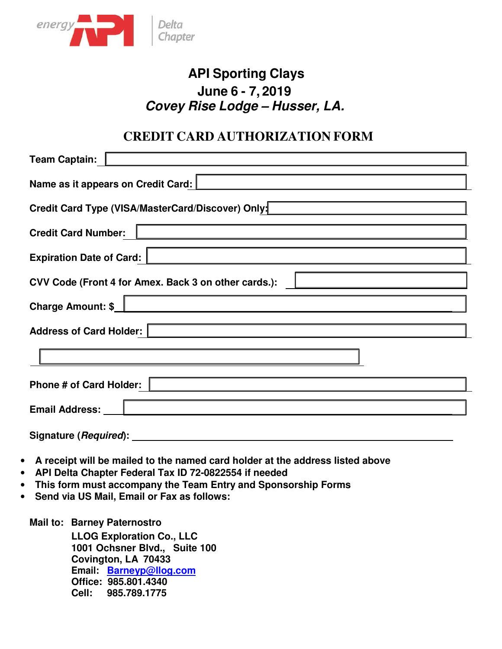

# **API Sporting Clays June 6 - 7, 2019** *Covey Rise Lodge – Husser, LA.*

## **CREDIT CARD AUTHORIZATION FORM**

| <b>Team Captain:</b>                                 |  |  |  |  |  |
|------------------------------------------------------|--|--|--|--|--|
| Name as it appears on Credit Card:                   |  |  |  |  |  |
| Credit Card Type (VISA/MasterCard/Discover) Only:    |  |  |  |  |  |
| <b>Credit Card Number:</b>                           |  |  |  |  |  |
| <b>Expiration Date of Card:</b>                      |  |  |  |  |  |
| CVV Code (Front 4 for Amex. Back 3 on other cards.): |  |  |  |  |  |
| <b>Charge Amount: \$</b>                             |  |  |  |  |  |
| Address of Card Holder:                              |  |  |  |  |  |
|                                                      |  |  |  |  |  |
| <b>Phone # of Card Holder:</b>                       |  |  |  |  |  |
| Email Address:                                       |  |  |  |  |  |
|                                                      |  |  |  |  |  |

- **Signature (***Required***):**
- **A receipt will be mailed to the named card holder at the address listed above**
- **API Delta Chapter Federal Tax ID 72-0822554 if needed**
- **This form must accompany the Team Entry and Sponsorship Forms**
- **Send via US Mail, Email or Fax as follows:**

**Mail to: Barney Paternostro** 

 **LLOG Exploration Co., LLC 1001 Ochsner Blvd., Suite 100 Covington, LA 70433 Email: Barneyp@llog.com Office: 985.801.4340 Cell: 985.789.1775**